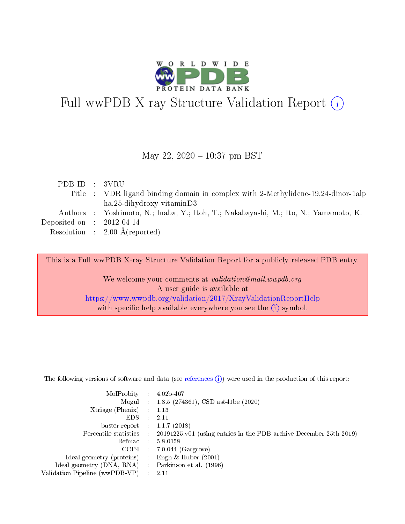

# Full wwPDB X-ray Structure Validation Report (i)

#### May 22,  $2020 - 10:37$  pm BST

| PDB ID : 3VRU               |                                                                                      |
|-----------------------------|--------------------------------------------------------------------------------------|
|                             | Title : VDR ligand binding domain in complex with 2-Methylidene-19,24-dinor-1alp     |
|                             | $ha,25$ -dihydroxy vitaminD3                                                         |
|                             | Authors : Yoshimoto, N.; Inaba, Y.; Itoh, T.; Nakabayashi, M.; Ito, N.; Yamamoto, K. |
| Deposited on : $2012-04-14$ |                                                                                      |
|                             | Resolution : $2.00 \text{ Å}$ (reported)                                             |
|                             |                                                                                      |

This is a Full wwPDB X-ray Structure Validation Report for a publicly released PDB entry.

We welcome your comments at validation@mail.wwpdb.org A user guide is available at <https://www.wwpdb.org/validation/2017/XrayValidationReportHelp> with specific help available everywhere you see the  $(i)$  symbol.

The following versions of software and data (see [references](https://www.wwpdb.org/validation/2017/XrayValidationReportHelp#references)  $(1)$ ) were used in the production of this report:

| MolProbity                     | $\mathcal{L}_{\rm{max}}$ | $4.02b - 467$                                                                |
|--------------------------------|--------------------------|------------------------------------------------------------------------------|
|                                |                          | Mogul : $1.8.5$ (274361), CSD as 541be (2020)                                |
| $X$ triage (Phenix) :          |                          | 1.13                                                                         |
| EDS.                           |                          | 2.11                                                                         |
| buster-report : $1.1.7$ (2018) |                          |                                                                              |
| Percentile statistics :        |                          | $20191225 \text{ v}01$ (using entries in the PDB archive December 25th 2019) |
| Refmac                         |                          | 5.8.0158                                                                     |
| $CCP4$ :                       |                          | $7.0.044$ (Gargrove)                                                         |
| Ideal geometry (proteins) :    |                          | Engh $\&$ Huber (2001)                                                       |
| Ideal geometry (DNA, RNA) :    |                          | Parkinson et al. (1996)                                                      |
| Validation Pipeline (wwPDB-VP) | $\mathcal{L}$            | -2.11                                                                        |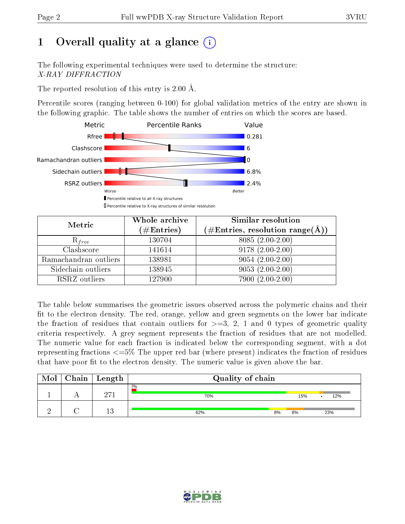# 1 [O](https://www.wwpdb.org/validation/2017/XrayValidationReportHelp#overall_quality)verall quality at a glance  $(i)$

The following experimental techniques were used to determine the structure: X-RAY DIFFRACTION

The reported resolution of this entry is 2.00 Å.

Percentile scores (ranging between 0-100) for global validation metrics of the entry are shown in the following graphic. The table shows the number of entries on which the scores are based.



| Metric                | Whole archive<br>$(\#\mathrm{Entries})$ | Similar resolution<br>$(\#\text{Entries}, \text{resolution range}(\textup{\AA}))$ |
|-----------------------|-----------------------------------------|-----------------------------------------------------------------------------------|
| $R_{free}$            | 130704                                  | 8085 (2.00-2.00)                                                                  |
| Clashscore            | 141614                                  | $9178(2.00-2.00)$                                                                 |
| Ramachandran outliers | 138981                                  | $9054(2.00-2.00)$                                                                 |
| Sidechain outliers    | 138945                                  | $9053(2.00-2.00)$                                                                 |
| RSRZ outliers         | 127900                                  | $7900(2.00-2.00)$                                                                 |

The table below summarises the geometric issues observed across the polymeric chains and their fit to the electron density. The red, orange, yellow and green segments on the lower bar indicate the fraction of residues that contain outliers for  $>=3, 2, 1$  and 0 types of geometric quality criteria respectively. A grey segment represents the fraction of residues that are not modelled. The numeric value for each fraction is indicated below the corresponding segment, with a dot representing fractions  $\epsilon=5\%$  The upper red bar (where present) indicates the fraction of residues that have poor fit to the electron density. The numeric value is given above the bar.

| Mol | ${\rm Chain \mid Length}$ | Quality of chain |     |     |
|-----|---------------------------|------------------|-----|-----|
|     | ירה                       | 2%<br>70%        | 15% | 12% |
|     | 1 ก<br>⊥€                 | 62%<br>8%        | 8%  | 23% |

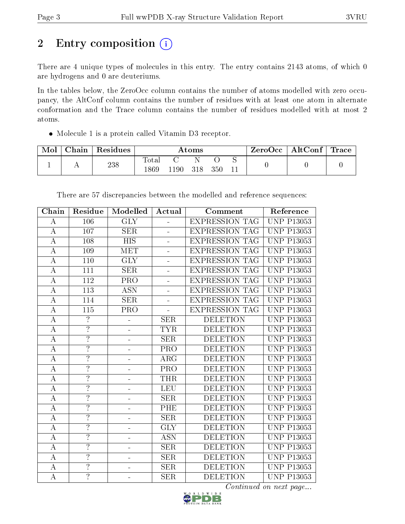# 2 Entry composition (i)

There are 4 unique types of molecules in this entry. The entry contains 2143 atoms, of which 0 are hydrogens and 0 are deuteriums.

In the tables below, the ZeroOcc column contains the number of atoms modelled with zero occupancy, the AltConf column contains the number of residues with at least one atom in alternate conformation and the Trace column contains the number of residues modelled with at most 2 atoms.

Molecule 1 is a protein called Vitamin D3 receptor.

| Mol | ${\rm Chain}$ | Residues | $\rm{Atoms}$             |     |     | ZeroOcc | $\mid$ AltConf $\mid$ | Trace |  |  |
|-----|---------------|----------|--------------------------|-----|-----|---------|-----------------------|-------|--|--|
|     | . .           | 238      | $\mathrm{Total}$<br>.869 | !90 | 318 | 350     | ◡                     |       |  |  |

| Chain            | Residue          | Modelled                     | Actual                   | Comment               | Reference         |
|------------------|------------------|------------------------------|--------------------------|-----------------------|-------------------|
| $\bf{A}$         | 106              | <b>GLY</b>                   | $\overline{a}$           | <b>EXPRESSION TAG</b> | <b>UNP P13053</b> |
| $\bf{A}$         | 107              | SER                          |                          | <b>EXPRESSION TAG</b> | <b>UNP P13053</b> |
| $\bf{A}$         | 108              | <b>HIS</b>                   | $\overline{a}$           | <b>EXPRESSION TAG</b> | <b>UNP P13053</b> |
| $\bf{A}$         | 109              | <b>MET</b>                   | $\overline{\phantom{0}}$ | <b>EXPRESSION TAG</b> | <b>UNP P13053</b> |
| $\overline{A}$   | 110              | $\overline{\text{GLY}}$      | L,                       | <b>EXPRESSION TAG</b> | <b>UNP P13053</b> |
| $\bf{A}$         | 111              | <b>SER</b>                   | $\overline{a}$           | <b>EXPRESSION TAG</b> | <b>UNP P13053</b> |
| $\bf{A}$         | 112              | PRO                          | $\overline{\phantom{0}}$ | <b>EXPRESSION TAG</b> | <b>UNP P13053</b> |
| $\overline{A}$   | $\overline{113}$ | <b>ASN</b>                   | $\overline{a}$           | <b>EXPRESSION TAG</b> | <b>UNP P13053</b> |
| $\bf{A}$         | 114              | <b>SER</b>                   | ÷,                       | <b>EXPRESSION TAG</b> | <b>UNP P13053</b> |
| $\bf{A}$         | $\overline{115}$ | PRO                          | ÷,                       | <b>EXPRESSION TAG</b> | <b>UNP P13053</b> |
| $\boldsymbol{A}$ | $\overline{?}$   |                              | <b>SER</b>               | <b>DELETION</b>       | <b>UNP P13053</b> |
| $\overline{A}$   | $\overline{?}$   | ÷                            | <b>TYR</b>               | <b>DELETION</b>       | <b>UNP P13053</b> |
| $\bf{A}$         | $\overline{?}$   | ÷                            | <b>SER</b>               | <b>DELETION</b>       | <b>UNP P13053</b> |
| $\boldsymbol{A}$ | $\overline{?}$   |                              | PRO                      | <b>DELETION</b>       | <b>UNP P13053</b> |
| $\overline{A}$   | $\overline{?}$   |                              | $\overline{\text{ARG}}$  | <b>DELETION</b>       | <b>UNP P13053</b> |
| $\bf{A}$         | $\overline{?}$   | ÷                            | PRO                      | <b>DELETION</b>       | <b>UNP P13053</b> |
| $\overline{A}$   | $\overline{?}$   |                              | <b>THR</b>               | <b>DELETION</b>       | <b>UNP P13053</b> |
| $\bf{A}$         | $\overline{?}$   | ÷                            | LEU                      | <b>DELETION</b>       | <b>UNP P13053</b> |
| $\bf{A}$         | $\overline{?}$   | ÷                            | <b>SER</b>               | <b>DELETION</b>       | <b>UNP P13053</b> |
| $\boldsymbol{A}$ | $\overline{?}$   | $\overline{\phantom{0}}$     | PHE                      | <b>DELETION</b>       | <b>UNP P13053</b> |
| $\bf{A}$         | $\overline{?}$   | ÷                            | <b>SER</b>               | <b>DELETION</b>       | <b>UNP P13053</b> |
| $\bf{A}$         | $\overline{?}$   |                              | $\overline{\text{GLY}}$  | <b>DELETION</b>       | <b>UNP P13053</b> |
| $\boldsymbol{A}$ | $\overline{?}$   |                              | <b>ASN</b>               | <b>DELETION</b>       | <b>UNP P13053</b> |
| $\overline{A}$   | $\overline{?}$   | $\qquad \qquad \blacksquare$ | $\overline{\text{SER}}$  | <b>DELETION</b>       | <b>UNP P13053</b> |
| $\bf{A}$         | $\overline{?}$   |                              | <b>SER</b>               | <b>DELETION</b>       | <b>UNP P13053</b> |
| $\boldsymbol{A}$ | $\overline{?}$   |                              | <b>SER</b>               | <b>DELETION</b>       | <b>UNP P13053</b> |
| $\overline{A}$   | $\overline{?}$   |                              | $\overline{\text{SER}}$  | <b>DELETION</b>       | <b>UNP P13053</b> |

There are 57 discrepancies between the modelled and reference sequences:

 $\overline{Continued}$  on next page...

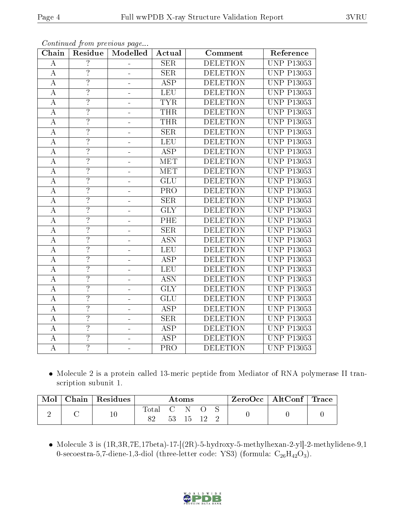| $\overline{?}$<br><b>DELETION</b><br><b>UNP P13053</b><br><b>SER</b><br>A<br>$\overline{?}$<br>$\bf{A}$<br><b>SER</b><br><b>DELETION</b><br><b>UNP P13053</b><br>$\overline{?}$<br><b>ASP</b><br>$\boldsymbol{A}$<br><b>DELETION</b><br><b>UNP P13053</b><br>$\blacksquare$<br>$\overline{?}$<br><b>LEU</b><br><b>DELETION</b><br><b>UNP P13053</b><br>$\boldsymbol{A}$<br>$\overline{?}$<br><b>TYR</b><br>$\overline{\rm A}$<br><b>DELETION</b><br><b>UNP P13053</b><br>$\overline{?}$<br><b>UNP P13053</b><br>$\bf{A}$<br><b>THR</b><br><b>DELETION</b><br>$\overline{?}$<br><b>THR</b><br><b>DELETION</b><br><b>UNP P13053</b><br>$\bf{A}$<br>$\overline{?}$<br>SER<br>$\overline{A}$<br><b>DELETION</b><br><b>UNP P13053</b><br>÷<br>$\overline{?}$<br>LEU<br>$\bf{A}$<br><b>DELETION</b><br><b>UNP P13053</b><br>$\overline{?}$<br><b>ASP</b><br><b>UNP P13053</b><br>$\overline{\rm A}$<br><b>DELETION</b><br>$\overline{\cdot}$<br>$\boldsymbol{A}$<br><b>MET</b><br><b>DELETION</b><br><b>UNP P13053</b><br>$\overline{\phantom{0}}$<br>$\overline{?}$<br>$\overline{\rm A}$<br><b>MET</b><br><b>DELETION</b><br><b>UNP P13053</b><br>÷<br>$\overline{?}$<br>GLU<br><b>DELETION</b><br><b>UNP P13053</b><br>A<br>÷<br>$\overline{?}$<br>$\bf{A}$<br>PRO<br><b>DELETION</b><br><b>UNP P13053</b><br>$\overline{?}$<br><b>SER</b><br><b>UNP P13053</b><br>A<br><b>DELETION</b><br>$\overline{?}$<br>$\overline{\text{GLY}}$<br><b>UNP P13053</b><br>$\bf{A}$<br><b>DELETION</b><br>$\overline{?}$<br>PHE<br><b>DELETION</b><br>$\overline{\rm A}$<br><b>UNP P13053</b><br>$\overline{?}$<br><b>SER</b><br><b>DELETION</b><br><b>UNP P13053</b><br>$\boldsymbol{A}$<br>$\blacksquare$<br>$\overline{?}$<br>$\overline{\text{ASN}}$<br>$\overline{A}$<br><b>DELETION</b><br><b>UNP P13053</b><br>$\overline{?}$<br>LEU<br>$\overline{\rm A}$<br><b>DELETION</b><br><b>UNP P13053</b><br>$\overline{?}$<br>$\overline{\text{ASP}}$<br><b>UNP P13053</b><br><b>DELETION</b><br>A<br>÷<br>$\overline{?}$<br>LEU<br><b>DELETION</b><br><b>UNP P13053</b><br>$\boldsymbol{A}$<br>$\overline{\cdot}$<br><b>ASN</b><br><b>DELETION</b><br><b>UNP P13053</b><br>A<br>$\equiv$<br>$\overline{?}$<br>$\overline{\rm A}$<br>$\overline{\text{GLY}}$<br><b>DELETION</b><br><b>UNP P13053</b><br>÷<br>$\overline{?}$<br>GLU<br><b>DELETION</b><br><b>UNP P13053</b><br>A<br>$\overline{?}$<br><b>ASP</b><br><b>UNP P13053</b><br><b>DELETION</b><br>$\boldsymbol{A}$<br>$\overline{?}$<br>$\overline{\rm A}$<br>SER<br><b>DELETION</b><br><b>UNP P13053</b><br>$\overline{?}$<br><b>ASP</b><br><b>DELETION</b><br><b>UNP P13053</b><br>A<br>$\blacksquare$<br>$\overline{?}$<br><b>ASP</b><br><b>DELETION</b><br><b>UNP P13053</b><br>$\boldsymbol{A}$<br>$\overline{?}$<br>PRO<br><b>DELETION</b><br><b>UNP P13053</b><br>$\boldsymbol{A}$ | Chain | Residue | Modelled | Actual | Comment | Reference |
|------------------------------------------------------------------------------------------------------------------------------------------------------------------------------------------------------------------------------------------------------------------------------------------------------------------------------------------------------------------------------------------------------------------------------------------------------------------------------------------------------------------------------------------------------------------------------------------------------------------------------------------------------------------------------------------------------------------------------------------------------------------------------------------------------------------------------------------------------------------------------------------------------------------------------------------------------------------------------------------------------------------------------------------------------------------------------------------------------------------------------------------------------------------------------------------------------------------------------------------------------------------------------------------------------------------------------------------------------------------------------------------------------------------------------------------------------------------------------------------------------------------------------------------------------------------------------------------------------------------------------------------------------------------------------------------------------------------------------------------------------------------------------------------------------------------------------------------------------------------------------------------------------------------------------------------------------------------------------------------------------------------------------------------------------------------------------------------------------------------------------------------------------------------------------------------------------------------------------------------------------------------------------------------------------------------------------------------------------------------------------------------------------------------------------------------------------------------------------------------------------------------------------------------------------------------------------------------------------------------------------------------------------------------------------------------------------------------------------------------------------------------------------------------------------------------------------------|-------|---------|----------|--------|---------|-----------|
|                                                                                                                                                                                                                                                                                                                                                                                                                                                                                                                                                                                                                                                                                                                                                                                                                                                                                                                                                                                                                                                                                                                                                                                                                                                                                                                                                                                                                                                                                                                                                                                                                                                                                                                                                                                                                                                                                                                                                                                                                                                                                                                                                                                                                                                                                                                                                                                                                                                                                                                                                                                                                                                                                                                                                                                                                                    |       |         |          |        |         |           |
|                                                                                                                                                                                                                                                                                                                                                                                                                                                                                                                                                                                                                                                                                                                                                                                                                                                                                                                                                                                                                                                                                                                                                                                                                                                                                                                                                                                                                                                                                                                                                                                                                                                                                                                                                                                                                                                                                                                                                                                                                                                                                                                                                                                                                                                                                                                                                                                                                                                                                                                                                                                                                                                                                                                                                                                                                                    |       |         |          |        |         |           |
|                                                                                                                                                                                                                                                                                                                                                                                                                                                                                                                                                                                                                                                                                                                                                                                                                                                                                                                                                                                                                                                                                                                                                                                                                                                                                                                                                                                                                                                                                                                                                                                                                                                                                                                                                                                                                                                                                                                                                                                                                                                                                                                                                                                                                                                                                                                                                                                                                                                                                                                                                                                                                                                                                                                                                                                                                                    |       |         |          |        |         |           |
|                                                                                                                                                                                                                                                                                                                                                                                                                                                                                                                                                                                                                                                                                                                                                                                                                                                                                                                                                                                                                                                                                                                                                                                                                                                                                                                                                                                                                                                                                                                                                                                                                                                                                                                                                                                                                                                                                                                                                                                                                                                                                                                                                                                                                                                                                                                                                                                                                                                                                                                                                                                                                                                                                                                                                                                                                                    |       |         |          |        |         |           |
|                                                                                                                                                                                                                                                                                                                                                                                                                                                                                                                                                                                                                                                                                                                                                                                                                                                                                                                                                                                                                                                                                                                                                                                                                                                                                                                                                                                                                                                                                                                                                                                                                                                                                                                                                                                                                                                                                                                                                                                                                                                                                                                                                                                                                                                                                                                                                                                                                                                                                                                                                                                                                                                                                                                                                                                                                                    |       |         |          |        |         |           |
|                                                                                                                                                                                                                                                                                                                                                                                                                                                                                                                                                                                                                                                                                                                                                                                                                                                                                                                                                                                                                                                                                                                                                                                                                                                                                                                                                                                                                                                                                                                                                                                                                                                                                                                                                                                                                                                                                                                                                                                                                                                                                                                                                                                                                                                                                                                                                                                                                                                                                                                                                                                                                                                                                                                                                                                                                                    |       |         |          |        |         |           |
|                                                                                                                                                                                                                                                                                                                                                                                                                                                                                                                                                                                                                                                                                                                                                                                                                                                                                                                                                                                                                                                                                                                                                                                                                                                                                                                                                                                                                                                                                                                                                                                                                                                                                                                                                                                                                                                                                                                                                                                                                                                                                                                                                                                                                                                                                                                                                                                                                                                                                                                                                                                                                                                                                                                                                                                                                                    |       |         |          |        |         |           |
|                                                                                                                                                                                                                                                                                                                                                                                                                                                                                                                                                                                                                                                                                                                                                                                                                                                                                                                                                                                                                                                                                                                                                                                                                                                                                                                                                                                                                                                                                                                                                                                                                                                                                                                                                                                                                                                                                                                                                                                                                                                                                                                                                                                                                                                                                                                                                                                                                                                                                                                                                                                                                                                                                                                                                                                                                                    |       |         |          |        |         |           |
|                                                                                                                                                                                                                                                                                                                                                                                                                                                                                                                                                                                                                                                                                                                                                                                                                                                                                                                                                                                                                                                                                                                                                                                                                                                                                                                                                                                                                                                                                                                                                                                                                                                                                                                                                                                                                                                                                                                                                                                                                                                                                                                                                                                                                                                                                                                                                                                                                                                                                                                                                                                                                                                                                                                                                                                                                                    |       |         |          |        |         |           |
|                                                                                                                                                                                                                                                                                                                                                                                                                                                                                                                                                                                                                                                                                                                                                                                                                                                                                                                                                                                                                                                                                                                                                                                                                                                                                                                                                                                                                                                                                                                                                                                                                                                                                                                                                                                                                                                                                                                                                                                                                                                                                                                                                                                                                                                                                                                                                                                                                                                                                                                                                                                                                                                                                                                                                                                                                                    |       |         |          |        |         |           |
|                                                                                                                                                                                                                                                                                                                                                                                                                                                                                                                                                                                                                                                                                                                                                                                                                                                                                                                                                                                                                                                                                                                                                                                                                                                                                                                                                                                                                                                                                                                                                                                                                                                                                                                                                                                                                                                                                                                                                                                                                                                                                                                                                                                                                                                                                                                                                                                                                                                                                                                                                                                                                                                                                                                                                                                                                                    |       |         |          |        |         |           |
|                                                                                                                                                                                                                                                                                                                                                                                                                                                                                                                                                                                                                                                                                                                                                                                                                                                                                                                                                                                                                                                                                                                                                                                                                                                                                                                                                                                                                                                                                                                                                                                                                                                                                                                                                                                                                                                                                                                                                                                                                                                                                                                                                                                                                                                                                                                                                                                                                                                                                                                                                                                                                                                                                                                                                                                                                                    |       |         |          |        |         |           |
|                                                                                                                                                                                                                                                                                                                                                                                                                                                                                                                                                                                                                                                                                                                                                                                                                                                                                                                                                                                                                                                                                                                                                                                                                                                                                                                                                                                                                                                                                                                                                                                                                                                                                                                                                                                                                                                                                                                                                                                                                                                                                                                                                                                                                                                                                                                                                                                                                                                                                                                                                                                                                                                                                                                                                                                                                                    |       |         |          |        |         |           |
|                                                                                                                                                                                                                                                                                                                                                                                                                                                                                                                                                                                                                                                                                                                                                                                                                                                                                                                                                                                                                                                                                                                                                                                                                                                                                                                                                                                                                                                                                                                                                                                                                                                                                                                                                                                                                                                                                                                                                                                                                                                                                                                                                                                                                                                                                                                                                                                                                                                                                                                                                                                                                                                                                                                                                                                                                                    |       |         |          |        |         |           |
|                                                                                                                                                                                                                                                                                                                                                                                                                                                                                                                                                                                                                                                                                                                                                                                                                                                                                                                                                                                                                                                                                                                                                                                                                                                                                                                                                                                                                                                                                                                                                                                                                                                                                                                                                                                                                                                                                                                                                                                                                                                                                                                                                                                                                                                                                                                                                                                                                                                                                                                                                                                                                                                                                                                                                                                                                                    |       |         |          |        |         |           |
|                                                                                                                                                                                                                                                                                                                                                                                                                                                                                                                                                                                                                                                                                                                                                                                                                                                                                                                                                                                                                                                                                                                                                                                                                                                                                                                                                                                                                                                                                                                                                                                                                                                                                                                                                                                                                                                                                                                                                                                                                                                                                                                                                                                                                                                                                                                                                                                                                                                                                                                                                                                                                                                                                                                                                                                                                                    |       |         |          |        |         |           |
|                                                                                                                                                                                                                                                                                                                                                                                                                                                                                                                                                                                                                                                                                                                                                                                                                                                                                                                                                                                                                                                                                                                                                                                                                                                                                                                                                                                                                                                                                                                                                                                                                                                                                                                                                                                                                                                                                                                                                                                                                                                                                                                                                                                                                                                                                                                                                                                                                                                                                                                                                                                                                                                                                                                                                                                                                                    |       |         |          |        |         |           |
|                                                                                                                                                                                                                                                                                                                                                                                                                                                                                                                                                                                                                                                                                                                                                                                                                                                                                                                                                                                                                                                                                                                                                                                                                                                                                                                                                                                                                                                                                                                                                                                                                                                                                                                                                                                                                                                                                                                                                                                                                                                                                                                                                                                                                                                                                                                                                                                                                                                                                                                                                                                                                                                                                                                                                                                                                                    |       |         |          |        |         |           |
|                                                                                                                                                                                                                                                                                                                                                                                                                                                                                                                                                                                                                                                                                                                                                                                                                                                                                                                                                                                                                                                                                                                                                                                                                                                                                                                                                                                                                                                                                                                                                                                                                                                                                                                                                                                                                                                                                                                                                                                                                                                                                                                                                                                                                                                                                                                                                                                                                                                                                                                                                                                                                                                                                                                                                                                                                                    |       |         |          |        |         |           |
|                                                                                                                                                                                                                                                                                                                                                                                                                                                                                                                                                                                                                                                                                                                                                                                                                                                                                                                                                                                                                                                                                                                                                                                                                                                                                                                                                                                                                                                                                                                                                                                                                                                                                                                                                                                                                                                                                                                                                                                                                                                                                                                                                                                                                                                                                                                                                                                                                                                                                                                                                                                                                                                                                                                                                                                                                                    |       |         |          |        |         |           |
|                                                                                                                                                                                                                                                                                                                                                                                                                                                                                                                                                                                                                                                                                                                                                                                                                                                                                                                                                                                                                                                                                                                                                                                                                                                                                                                                                                                                                                                                                                                                                                                                                                                                                                                                                                                                                                                                                                                                                                                                                                                                                                                                                                                                                                                                                                                                                                                                                                                                                                                                                                                                                                                                                                                                                                                                                                    |       |         |          |        |         |           |
|                                                                                                                                                                                                                                                                                                                                                                                                                                                                                                                                                                                                                                                                                                                                                                                                                                                                                                                                                                                                                                                                                                                                                                                                                                                                                                                                                                                                                                                                                                                                                                                                                                                                                                                                                                                                                                                                                                                                                                                                                                                                                                                                                                                                                                                                                                                                                                                                                                                                                                                                                                                                                                                                                                                                                                                                                                    |       |         |          |        |         |           |
|                                                                                                                                                                                                                                                                                                                                                                                                                                                                                                                                                                                                                                                                                                                                                                                                                                                                                                                                                                                                                                                                                                                                                                                                                                                                                                                                                                                                                                                                                                                                                                                                                                                                                                                                                                                                                                                                                                                                                                                                                                                                                                                                                                                                                                                                                                                                                                                                                                                                                                                                                                                                                                                                                                                                                                                                                                    |       |         |          |        |         |           |
|                                                                                                                                                                                                                                                                                                                                                                                                                                                                                                                                                                                                                                                                                                                                                                                                                                                                                                                                                                                                                                                                                                                                                                                                                                                                                                                                                                                                                                                                                                                                                                                                                                                                                                                                                                                                                                                                                                                                                                                                                                                                                                                                                                                                                                                                                                                                                                                                                                                                                                                                                                                                                                                                                                                                                                                                                                    |       |         |          |        |         |           |
|                                                                                                                                                                                                                                                                                                                                                                                                                                                                                                                                                                                                                                                                                                                                                                                                                                                                                                                                                                                                                                                                                                                                                                                                                                                                                                                                                                                                                                                                                                                                                                                                                                                                                                                                                                                                                                                                                                                                                                                                                                                                                                                                                                                                                                                                                                                                                                                                                                                                                                                                                                                                                                                                                                                                                                                                                                    |       |         |          |        |         |           |
|                                                                                                                                                                                                                                                                                                                                                                                                                                                                                                                                                                                                                                                                                                                                                                                                                                                                                                                                                                                                                                                                                                                                                                                                                                                                                                                                                                                                                                                                                                                                                                                                                                                                                                                                                                                                                                                                                                                                                                                                                                                                                                                                                                                                                                                                                                                                                                                                                                                                                                                                                                                                                                                                                                                                                                                                                                    |       |         |          |        |         |           |
|                                                                                                                                                                                                                                                                                                                                                                                                                                                                                                                                                                                                                                                                                                                                                                                                                                                                                                                                                                                                                                                                                                                                                                                                                                                                                                                                                                                                                                                                                                                                                                                                                                                                                                                                                                                                                                                                                                                                                                                                                                                                                                                                                                                                                                                                                                                                                                                                                                                                                                                                                                                                                                                                                                                                                                                                                                    |       |         |          |        |         |           |
|                                                                                                                                                                                                                                                                                                                                                                                                                                                                                                                                                                                                                                                                                                                                                                                                                                                                                                                                                                                                                                                                                                                                                                                                                                                                                                                                                                                                                                                                                                                                                                                                                                                                                                                                                                                                                                                                                                                                                                                                                                                                                                                                                                                                                                                                                                                                                                                                                                                                                                                                                                                                                                                                                                                                                                                                                                    |       |         |          |        |         |           |
|                                                                                                                                                                                                                                                                                                                                                                                                                                                                                                                                                                                                                                                                                                                                                                                                                                                                                                                                                                                                                                                                                                                                                                                                                                                                                                                                                                                                                                                                                                                                                                                                                                                                                                                                                                                                                                                                                                                                                                                                                                                                                                                                                                                                                                                                                                                                                                                                                                                                                                                                                                                                                                                                                                                                                                                                                                    |       |         |          |        |         |           |
|                                                                                                                                                                                                                                                                                                                                                                                                                                                                                                                                                                                                                                                                                                                                                                                                                                                                                                                                                                                                                                                                                                                                                                                                                                                                                                                                                                                                                                                                                                                                                                                                                                                                                                                                                                                                                                                                                                                                                                                                                                                                                                                                                                                                                                                                                                                                                                                                                                                                                                                                                                                                                                                                                                                                                                                                                                    |       |         |          |        |         |           |

Continued from previous page...

 Molecule 2 is a protein called 13-meric peptide from Mediator of RNA polymerase II transcription subunit 1.

| Mol | $\,$ Chain   Residues $\,$ |             | Atoms      |  | $\mid$ ZeroOcc $\mid$ AltConf $\mid$ Trace |  |
|-----|----------------------------|-------------|------------|--|--------------------------------------------|--|
| ∼   |                            | Total C N O | 53 15 12 2 |  |                                            |  |

 $\bullet\,$  Molecule 3 is (1R,3R,7E,17beta)-17-[(2R)-5-hydroxy-5-methylhexan-2-yl]-2-methylidene-9,1 0-secoestra-5,7-diene-1,3-diol (three-letter code: YS3) (formula:  $C_{26}H_{42}O_3$ ).

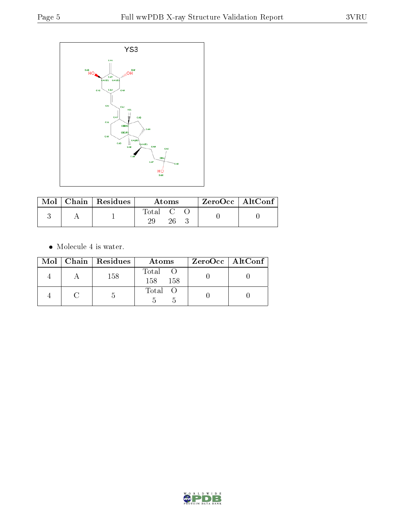

|  | $\mid$ Mol $\mid$ Chain $\mid$ Residues $\mid$ | Atoms     |  |  | ZeroOcc   AltConf |  |
|--|------------------------------------------------|-----------|--|--|-------------------|--|
|  |                                                | Total C O |  |  |                   |  |

 $\bullet\,$  Molecule 4 is water.

|  | Mol   Chain   Residues | Atoms               | $ZeroOcc \   \ AltConf \  $ |
|--|------------------------|---------------------|-----------------------------|
|  | 158                    | Total<br>158<br>158 |                             |
|  |                        | Total O             |                             |

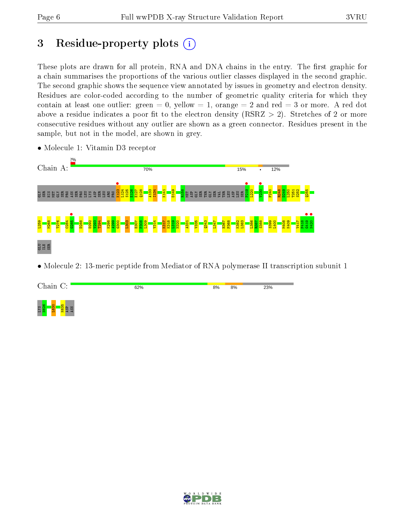# 3 Residue-property plots  $(i)$

These plots are drawn for all protein, RNA and DNA chains in the entry. The first graphic for a chain summarises the proportions of the various outlier classes displayed in the second graphic. The second graphic shows the sequence view annotated by issues in geometry and electron density. Residues are color-coded according to the number of geometric quality criteria for which they contain at least one outlier: green  $= 0$ , yellow  $= 1$ , orange  $= 2$  and red  $= 3$  or more. A red dot above a residue indicates a poor fit to the electron density (RSRZ  $> 2$ ). Stretches of 2 or more consecutive residues without any outlier are shown as a green connector. Residues present in the sample, but not in the model, are shown in grey.



• Molecule 1: Vitamin D3 receptor

• Molecule 2: 13-meric peptide from Mediator of RNA polymerase II transcription subunit 1



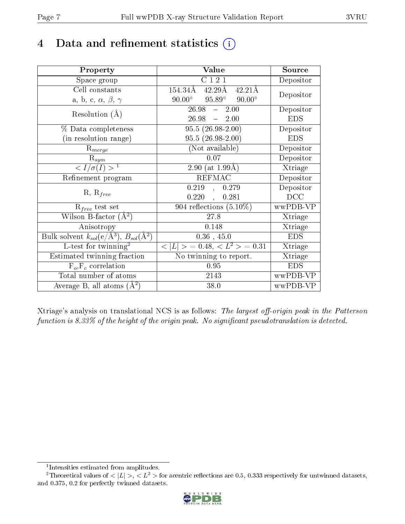# 4 Data and refinement statistics  $(i)$

| Property                                                                 | Value                                              | Source     |
|--------------------------------------------------------------------------|----------------------------------------------------|------------|
| Space group                                                              | C121                                               | Depositor  |
| Cell constants                                                           | 154.34Å<br>$42.29\text{\AA}$<br>$42.21\text{\AA}$  | Depositor  |
| a, b, c, $\alpha$ , $\beta$ , $\gamma$                                   | $90.00^{\circ}$ $95.89^{\circ}$<br>$90.00^{\circ}$ |            |
| Resolution $(A)$                                                         | $26.98 -$<br>2.00                                  | Depositor  |
|                                                                          | 26.98<br>$-2.00$                                   | <b>EDS</b> |
| $%$ Data completeness                                                    | $95.5(26.98-2.00)$                                 | Depositor  |
| (in resolution range)                                                    | 95.5 (26.98-2.00)                                  | <b>EDS</b> |
| $R_{merge}$                                                              | (Not available)                                    | Depositor  |
| $\mathrm{R}_{sym}$                                                       | 0.07                                               | Depositor  |
| $\langle I/\sigma(I) \rangle^{-1}$                                       | 2.90 (at $1.99\text{\AA}$ )                        | Xtriage    |
| Refinement program                                                       | <b>REFMAC</b>                                      | Depositor  |
| $R, R_{free}$                                                            | $0.219$ ,<br>0.279                                 | Depositor  |
|                                                                          | $0.220$ ,<br>0.281                                 | DCC        |
| $\mathcal{R}_{free}$ test set                                            | $904$ reflections $(5.10\%)$                       | wwPDB-VP   |
| Wilson B-factor $(A^2)$                                                  | 27.8                                               | Xtriage    |
| Anisotropy                                                               | 0.148                                              | Xtriage    |
| Bulk solvent $k_{sol}(\mathrm{e}/\mathrm{A}^3),$ $B_{sol}(\mathrm{A}^2)$ | $0.36$ , 45.0                                      | <b>EDS</b> |
| L-test for twinning <sup>2</sup>                                         | $< L >$ = 0.48, $< L2 >$ = 0.31                    | Xtriage    |
| Estimated twinning fraction                                              | $\overline{\text{No}}$ twinning to report.         | Xtriage    |
| $F_o, F_c$ correlation                                                   | 0.95                                               | <b>EDS</b> |
| Total number of atoms                                                    | 2143                                               | wwPDB-VP   |
| Average B, all atoms $(A^2)$                                             | 38.0                                               | wwPDB-VP   |

Xtriage's analysis on translational NCS is as follows: The largest off-origin peak in the Patterson function is  $8.33\%$  of the height of the origin peak. No significant pseudotranslation is detected.

<sup>&</sup>lt;sup>2</sup>Theoretical values of  $\langle |L| \rangle$ ,  $\langle L^2 \rangle$  for acentric reflections are 0.5, 0.333 respectively for untwinned datasets, and 0.375, 0.2 for perfectly twinned datasets.



<span id="page-6-1"></span><span id="page-6-0"></span><sup>1</sup> Intensities estimated from amplitudes.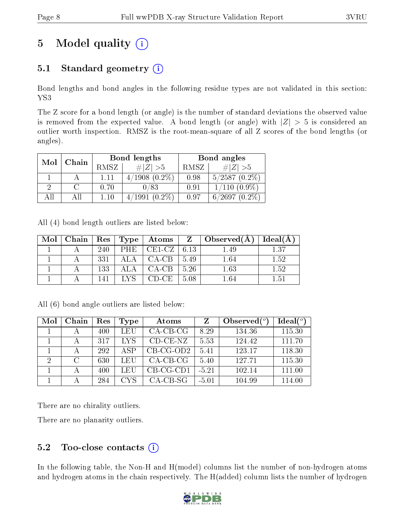# 5 Model quality  $(i)$

# 5.1 Standard geometry  $(i)$

Bond lengths and bond angles in the following residue types are not validated in this section: YS3

The Z score for a bond length (or angle) is the number of standard deviations the observed value is removed from the expected value. A bond length (or angle) with  $|Z| > 5$  is considered an outlier worth inspection. RMSZ is the root-mean-square of all Z scores of the bond lengths (or angles).

| Mol | Chain |      | Bond lengths       | Bond angles |                          |  |
|-----|-------|------|--------------------|-------------|--------------------------|--|
|     |       | RMSZ | $\# Z  > 5$        | RMSZ        | # $ Z  > 5$              |  |
|     |       | 1.11 | $4/1908(0.2\%)$    | 0.98        | $5/2587(0.2\%)$          |  |
|     |       | 0.70 | 0/83               | 0.91        | $1/110(0.9\%)$           |  |
| AH  |       | 110  | $(0.2\%)$<br>′1991 | 0.97        | $(0.2\%)$<br>/2697<br>в. |  |

All (4) bond length outliers are listed below:

| Mol | Chain |     | Res   Type | $_+$ Atoms | $Z -$ | $\vert$ Observed $(A)$ | Ideal(A) |
|-----|-------|-----|------------|------------|-------|------------------------|----------|
|     |       | 240 | PHE        | $CE1-CZ$   | 6.13  | 1.49                   | 1.37     |
|     |       | 331 |            | $CA-CB$    | 5.49  | 1.64                   | 1.52     |
|     |       | 133 |            | $CA-CB$    | 5.26  | 1.63                   | 1.52     |
|     |       | 141 |            | CD-CE-     | 5.08  | $1.64\,$               | $1.51\,$ |

All (6) bond angle outliers are listed below:

| Mol | Chain         | Res | Type       | Atoms       | Z       | Observed $\binom{o}{c}$ | Ideal $(^\circ)$ |
|-----|---------------|-----|------------|-------------|---------|-------------------------|------------------|
|     |               | 400 | LEU        | $CA$ -CB-CG | 8.29    | 134.36                  | 115.30           |
|     |               | 317 | <b>LYS</b> | $CD-CE-NZ$  | 5.53    | 124.42                  | 111.70           |
|     |               | 292 | <b>ASP</b> | $CB-CG-OD2$ | 5.41    | 123.17                  | 118.30           |
| 2   | $\mathcal{C}$ | 630 | LEU        | $CA-CB-CG$  | 5.40    | 127.71                  | 115.30           |
|     |               | 400 | LEU        | $CB-CG-CD1$ | $-5.21$ | 102.14                  | 111.00           |
|     |               | 284 | <b>CYS</b> | $CA-CB-SG$  | $-5.01$ | 104.99                  | 114.00           |

There are no chirality outliers.

There are no planarity outliers.

### $5.2$  Too-close contacts  $(i)$

In the following table, the Non-H and H(model) columns list the number of non-hydrogen atoms and hydrogen atoms in the chain respectively. The H(added) column lists the number of hydrogen

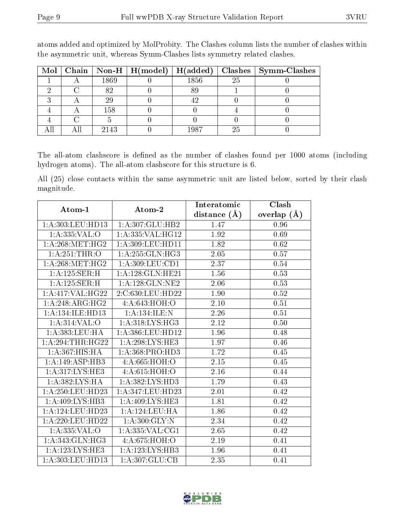|  |      | Mol   Chain   Non-H   H(model)   H(added) |      |    | Clashes   Symm-Clashes |
|--|------|-------------------------------------------|------|----|------------------------|
|  | 1869 |                                           | 1856 | 25 |                        |
|  | 89   |                                           |      |    |                        |
|  | 29   |                                           |      |    |                        |
|  | 158  |                                           |      |    |                        |
|  |      |                                           |      |    |                        |
|  | 2143 |                                           | 1987 | 25 |                        |

atoms added and optimized by MolProbity. The Clashes column lists the number of clashes within the asymmetric unit, whereas Symm-Clashes lists symmetry related clashes.

The all-atom clashscore is defined as the number of clashes found per 1000 atoms (including hydrogen atoms). The all-atom clashscore for this structure is 6.

All (25) close contacts within the same asymmetric unit are listed below, sorted by their clash magnitude.

| Atom-1                | Atom-2                       | Interatomic    | Clash         |
|-----------------------|------------------------------|----------------|---------------|
|                       |                              | distance $(A)$ | overlap $(A)$ |
| 1: A:303:LEU:HD13     | 1:A:307:GLU:HB2              | 1.47           | 0.96          |
| 1:A:335:VAL:O         | 1:A:335:VAL:HG12             | 1.92           | 0.69          |
| 1: A:268:MET:HG2      | $1:$ A:309:LEU:HD11          | 1.82           | 0.62          |
| 1: A:251:THR:O        | $1:A:255:GLN:H\overline{G3}$ | 2.05           | 0.57          |
| 1: A:268:MET:HG2      | 1: A:309: LEU: CD1           | 2.37           | $0.54\,$      |
| 1: A: 125: SER:H      | 1: A: 128: GLN: HE21         | 1.56           | 0.53          |
| 1:A:125:SER:H         | 1: A: 128: GLN: NE2          | 2.06           | 0.53          |
| 1:A:417:VAL:HG22      | 2:C:630:LEU:HD22             | 1.90           | $0.52\,$      |
| 1:A:248:ARG:HG2       | 4: A:643:HOH:O               | 2.10           | $0.51\,$      |
| 1:A:134:ILE:HD13      | 1: A: 134: ILE:N             | 2.26           | 0.51          |
| 1: A:314: VAL:O       | 1: A:318: LYS: HG3           | 2.12           | 0.50          |
| 1: A: 383: LEU: HA    | 1:A:386:LEU:HD12             | 1.96           | 0.48          |
| $1:A:294$ : THR: HG22 | 1: A:298:LYS:HE3             | 1.97           | 0.46          |
| 1: A: 367: HIS: HA    | 1:A:368:PRO:HD3              | 1.72           | 0.45          |
| 1:A:149:ASP:HB3       | 4:A:665:HOH:O                | 2.15           | 0.45          |
| 1:A:317:LYS:HE3       | 4: A:615: HOH:O              | 2.16           | 0.44          |
| 1:A:382:LYS:HA        | 1:A:382:LYS:HD3              | 1.79           | 0.43          |
| 1: A:250:LEU:HD23     | 1:A:347:LEU:HD23             | 2.01           | 0.42          |
| 1: A:409: LYS:HB3     | 1: A:409: LYS: HE3           | 1.81           | 0.42          |
| 1: A:124:LEU:HD23     | 1: A:124:LEU:HA              | 1.86           | 0.42          |
| 1: A:220:LEU:HD22     | 1: A:300: GLY:N              | 2.34           | 0.42          |
| 1: A: 335: VAL: O     | 1:A:335:VAL:CG1              | 2.65           | 0.42          |
| 1: A:343: GLN: HG3    | 4:A:675:HOH:O                | 2.19           | 0.41          |
| 1:A:123:LYS:HE3       | 1:A:123:LYS:HB3              | 1.96           | 0.41          |
| 1: A:303:LEU:HD13     | 1:A:307:GLU:CB               | 2.35           | 0.41          |

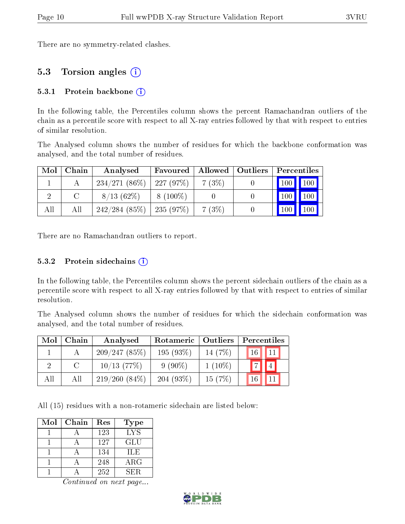There are no symmetry-related clashes.

### 5.3 Torsion angles (i)

#### 5.3.1 Protein backbone  $(i)$

In the following table, the Percentiles column shows the percent Ramachandran outliers of the chain as a percentile score with respect to all X-ray entries followed by that with respect to entries of similar resolution.

The Analysed column shows the number of residues for which the backbone conformation was analysed, and the total number of residues.

| Mol | Chain | Analysed                     | Favoured   |       | Allowed   Outliers | Percentiles           |              |
|-----|-------|------------------------------|------------|-------|--------------------|-----------------------|--------------|
|     |       | $234/271(86\%)$   227 (97\%) |            | 7(3%) |                    | $\mid$ 100 $\mid$ 100 |              |
|     |       | $8/13(62\%)$                 | $8(100\%)$ |       |                    | $\vert$ 100 $\vert$   | $\vert$ 100  |
| All | All   | 242/284(85%)                 | 235(97%)   | 7(3%) |                    | 100                   | $\sqrt{100}$ |

There are no Ramachandran outliers to report.

#### 5.3.2 Protein sidechains  $(i)$

In the following table, the Percentiles column shows the percent sidechain outliers of the chain as a percentile score with respect to all X-ray entries followed by that with respect to entries of similar resolution.

The Analysed column shows the number of residues for which the sidechain conformation was analysed, and the total number of residues.

| Mol | Chain  | Analysed        | Rotameric   | $\mid$ Outliers | Percentiles                |  |  |
|-----|--------|-----------------|-------------|-----------------|----------------------------|--|--|
|     |        | 209/247(85%)    | $195(93\%)$ | 14 $(7%)$       | $16$   $11$                |  |  |
| 9   | $\cap$ | $10/13$ (77\%)  | $9(90\%)$   | $1(10\%)$       | $\vert$ 7 $\vert$<br>    4 |  |  |
| All | Аll    | $219/260(84\%)$ | $204(93\%)$ | 15(7%)          |                            |  |  |

All (15) residues with a non-rotameric sidechain are listed below:

| Mol | Chain | Res | Type       |
|-----|-------|-----|------------|
|     |       | 123 | <b>LYS</b> |
|     |       | 127 | GLU        |
|     |       | 134 | TLE        |
|     |       | 248 | $\rm{ARG}$ |
|     |       | 252 | SER.       |

Continued on next page...

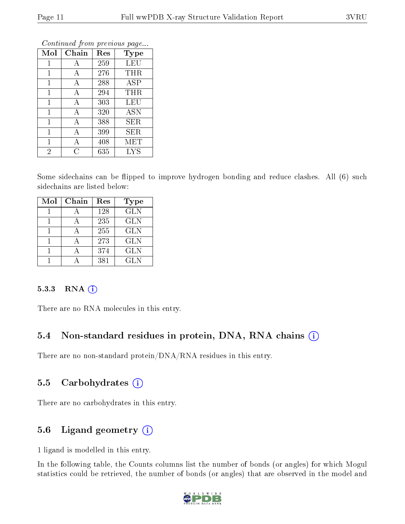| Mol            | Chain | Res | <b>Type</b> |
|----------------|-------|-----|-------------|
| $\mathbf{1}$   | А     | 259 | <b>LEU</b>  |
| 1              | А     | 276 | THR         |
| $\mathbf{1}$   | А     | 288 | <b>ASP</b>  |
| $\mathbf{1}$   | А     | 294 | THR         |
| 1              | А     | 303 | LEU         |
| $\mathbf 1$    | А     | 320 | <b>ASN</b>  |
| $\mathbf{1}$   | А     | 388 | SER         |
| 1              | А     | 399 | SER         |
| $\mathbf 1$    | Α     | 408 | MET         |
| $\overline{2}$ | Ç     | 635 | <b>LYS</b>  |

Continued from previous page...

Some sidechains can be flipped to improve hydrogen bonding and reduce clashes. All (6) such sidechains are listed below:

| Mol | Chain | Res | Type       |
|-----|-------|-----|------------|
|     |       | 128 | <b>GLN</b> |
|     |       | 235 | <b>GLN</b> |
|     |       | 255 | <b>GLN</b> |
|     |       | 273 | <b>GLN</b> |
|     |       | 374 | <b>GLN</b> |
|     |       | 381 | GL N       |

#### $5.3.3$  RNA  $(i)$

There are no RNA molecules in this entry.

### 5.4 Non-standard residues in protein, DNA, RNA chains (i)

There are no non-standard protein/DNA/RNA residues in this entry.

### 5.5 Carbohydrates  $(i)$

There are no carbohydrates in this entry.

### 5.6 Ligand geometry (i)

1 ligand is modelled in this entry.

In the following table, the Counts columns list the number of bonds (or angles) for which Mogul statistics could be retrieved, the number of bonds (or angles) that are observed in the model and

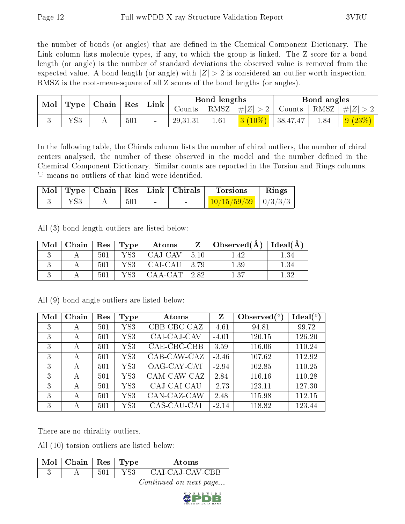the number of bonds (or angles) that are defined in the Chemical Component Dictionary. The Link column lists molecule types, if any, to which the group is linked. The Z score for a bond length (or angle) is the number of standard deviations the observed value is removed from the expected value. A bond length (or angle) with  $|Z| > 2$  is considered an outlier worth inspection. RMSZ is the root-mean-square of all Z scores of the bond lengths (or angles).

| Mol |     | $\mid$ Type $\mid$ Chain $\mid$ Res $\mid$ |     | $ \,\rm{Link}\,$ |            | Bond lengths |                                         |               | Bond angles |                        |
|-----|-----|--------------------------------------------|-----|------------------|------------|--------------|-----------------------------------------|---------------|-------------|------------------------|
|     |     |                                            |     |                  | Counts     |              | RMSZ   $\# Z  > 2$                      | Counts   RMSZ | $\# Z $     |                        |
|     | YS3 | A                                          | 501 |                  | 29, 31, 31 | 1.61         | $\left 3\right\rangle(10\%)$   38,47,47 |               | 1.84        | $\frac{1}{9}$ $(23\%)$ |

In the following table, the Chirals column lists the number of chiral outliers, the number of chiral centers analysed, the number of these observed in the model and the number defined in the Chemical Component Dictionary. Similar counts are reported in the Torsion and Rings columns. '-' means no outliers of that kind were identified.

|  |     | Mol   Type   Chain   Res   Link   Chirals | <b>Torsions</b>           | Rings |
|--|-----|-------------------------------------------|---------------------------|-------|
|  | 501 | $\sim$                                    | $10/15/59/59$   $0/3/3/3$ |       |

All (3) bond length outliers are listed below:

| Mol | Chain |     | $\mid$ Res $\mid$ Type | Atoms   | Z     | $\Box$ Observed(A) | $\vert$ Ideal( ${\rm \AA}$ ) |
|-----|-------|-----|------------------------|---------|-------|--------------------|------------------------------|
|     |       | 501 | YS3                    | CAJ-CAV | -5.10 | -42                | 1.34                         |
|     |       | 501 | YS3                    | CAI-CAU | 3.79  | 1.39               | $1.34\,$                     |
|     |       | 501 | YS3                    | CAA-CAT | 2.82  | 1.37               | 139                          |

| Mol | Chain | Res | Type        | Atoms       | $\mathbf{Z}$ | Observed $\binom{o}{c}$ | Ideal $(^\circ)$ |
|-----|-------|-----|-------------|-------------|--------------|-------------------------|------------------|
| 3   | А     | 501 | ${\rm YS3}$ | CBB-CBC-CAZ | $-4.61$      | 94.81                   | 99.72            |
| 3   | A     | 501 | YS3         | CAI-CAJ-CAV | $-4.01$      | 120.15                  | 126.20           |
| 3   | А     | 501 | ${\rm YS3}$ | CAE-CBC-CBB | 3.59         | 116.06                  | 110.24           |
| 3   | A     | 501 | YS3         | CAB-CAW-CAZ | $-3.46$      | 107.62                  | 112.92           |
| 3   | А     | 501 | ${\rm YS3}$ | OAG-CAY-CAT | $-2.94$      | 102.85                  | 110.25           |
| 3   | А     | 501 | YS3         | CAM-CAW-CAZ | 2.84         | 116.16                  | 110.28           |
| 3   | A     | 501 | YS3         | CAJ-CAI-CAU | $-2.73$      | 123.11                  | 127.30           |
| 3   | А     | 501 | ${\rm YS3}$ | CAN-CAZ-CAW | 2.48         | 115.98                  | 112.15           |
| 3   | А     | 501 | YS3         | CAS-CAU-CAI | $-2.14$      | 118.82                  | 123.44           |

All (9) bond angle outliers are listed below:

There are no chirality outliers.

All (10) torsion outliers are listed below:

| Mol | $\vert$ Chain $\vert$ Res $\vert$ Type |  | Atoms           |
|-----|----------------------------------------|--|-----------------|
| ◡   |                                        |  | CAI-CAJ-CAV-CBB |

Continued on next page...

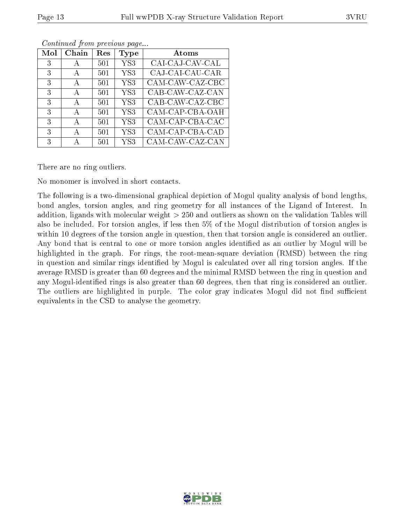| Mol | Chain        | $\operatorname{Res}% \left( \mathcal{N}\right) \equiv\operatorname{Res}(\mathcal{N}_{0})\cap\mathcal{N}_{1}$ | Type            | Atoms           |
|-----|--------------|--------------------------------------------------------------------------------------------------------------|-----------------|-----------------|
| 3   |              | 501                                                                                                          | YS3             | CAI-CAJ-CAV-CAL |
| 3   | A            | 501                                                                                                          | YS <sub>3</sub> | CAJ-CAI-CAU-CAR |
| 3   | А            | 501                                                                                                          | YS <sub>3</sub> | CAM-CAW-CAZ-CBC |
| 3   | A            | 501                                                                                                          | YS <sub>3</sub> | CAB-CAW-CAZ-CAN |
| 3   | A            | 501                                                                                                          | YS <sub>3</sub> | CAB-CAW-CAZ-CBC |
| 3   | $\mathsf{A}$ | 501                                                                                                          | YS <sub>3</sub> | CAM-CAP-CBA-OAH |
| 3   | A            | 501                                                                                                          | YS <sub>3</sub> | CAM-CAP-CBA-CAC |
| 3   | А            | 501                                                                                                          | YS <sub>3</sub> | CAM-CAP-CBA-CAD |
| 3   |              | 501                                                                                                          | YS3             | CAM-CAW-CAZ-CAN |

Continued from previous page...

There are no ring outliers.

No monomer is involved in short contacts.

The following is a two-dimensional graphical depiction of Mogul quality analysis of bond lengths, bond angles, torsion angles, and ring geometry for all instances of the Ligand of Interest. In addition, ligands with molecular weight > 250 and outliers as shown on the validation Tables will also be included. For torsion angles, if less then 5% of the Mogul distribution of torsion angles is within 10 degrees of the torsion angle in question, then that torsion angle is considered an outlier. Any bond that is central to one or more torsion angles identified as an outlier by Mogul will be highlighted in the graph. For rings, the root-mean-square deviation (RMSD) between the ring in question and similar rings identified by Mogul is calculated over all ring torsion angles. If the average RMSD is greater than 60 degrees and the minimal RMSD between the ring in question and any Mogul-identified rings is also greater than 60 degrees, then that ring is considered an outlier. The outliers are highlighted in purple. The color gray indicates Mogul did not find sufficient equivalents in the CSD to analyse the geometry.

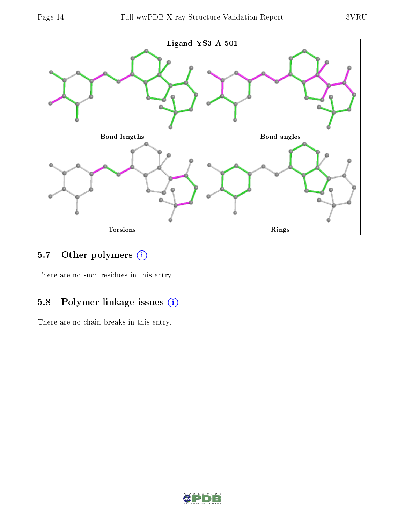

### 5.7 [O](https://www.wwpdb.org/validation/2017/XrayValidationReportHelp#nonstandard_residues_and_ligands)ther polymers (i)

There are no such residues in this entry.

# 5.8 Polymer linkage issues (i)

There are no chain breaks in this entry.

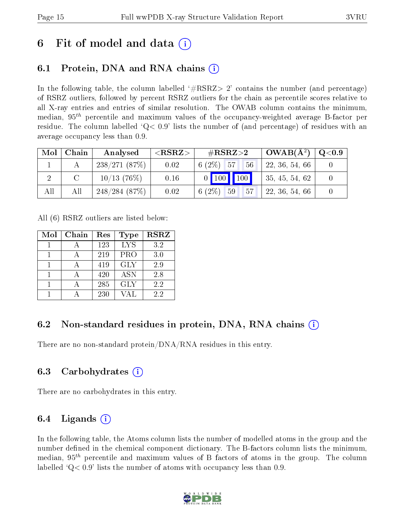# 6 Fit of model and data  $\left( \cdot \right)$

# 6.1 Protein, DNA and RNA chains (i)

In the following table, the column labelled  $#RSRZ>2'$  contains the number (and percentage) of RSRZ outliers, followed by percent RSRZ outliers for the chain as percentile scores relative to all X-ray entries and entries of similar resolution. The OWAB column contains the minimum, median,  $95<sup>th</sup>$  percentile and maximum values of the occupancy-weighted average B-factor per residue. The column labelled  $Q< 0.9$  lists the number of (and percentage) of residues with an average occupancy less than 0.9.

| Mol | Chain | Analysed       | ${ <\hspace{-1.5pt}{\mathrm{RSRZ}} \hspace{-1.5pt}>}$ | $\#\text{RSRZ}{>}2$   | $OWAB(A^2)$    | $\rm Q\textcolor{black}{<}0.9$ |
|-----|-------|----------------|-------------------------------------------------------|-----------------------|----------------|--------------------------------|
|     |       | 238/271(87%)   | 0.02                                                  | $6(2\%)$ 57<br>56     | 22, 36, 54, 66 |                                |
|     |       | $10/13$ (76\%) | 0.16                                                  | $0$ 100 100           | 35, 45, 54, 62 |                                |
| All | All   | 248/284(87%)   | 0.02                                                  | 6 $(2\%)$<br>57<br>59 | 22, 36, 54, 66 |                                |

All (6) RSRZ outliers are listed below:

| Mol | Chain | Res | <b>Type</b> | <b>RSRZ</b> |
|-----|-------|-----|-------------|-------------|
|     |       | 123 | <b>LYS</b>  | 3.2         |
|     |       | 219 | <b>PRO</b>  | 3.0         |
|     |       | 419 | <b>GLY</b>  | 2.9         |
|     |       | 420 | <b>ASN</b>  | 2.8         |
|     |       | 285 | <b>GLY</b>  | 2.2         |
|     |       | 230 | VAL.        | 22          |

# 6.2 Non-standard residues in protein, DNA, RNA chains  $(i)$

There are no non-standard protein/DNA/RNA residues in this entry.

### 6.3 Carbohydrates (i)

There are no carbohydrates in this entry.

# 6.4 Ligands  $(i)$

In the following table, the Atoms column lists the number of modelled atoms in the group and the number defined in the chemical component dictionary. The B-factors column lists the minimum, median,  $95<sup>th</sup>$  percentile and maximum values of B factors of atoms in the group. The column labelled  $Q< 0.9$ ' lists the number of atoms with occupancy less than 0.9.